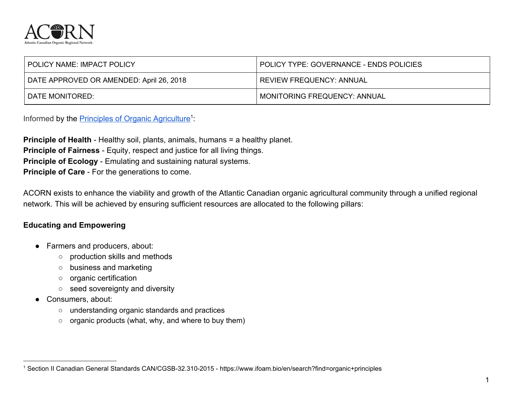

| <b>POLICY NAME: IMPACT POLICY</b>        | I POLICY TYPE: GOVERNANCE - ENDS POLICIES |
|------------------------------------------|-------------------------------------------|
| DATE APPROVED OR AMENDED: April 26, 2018 | <b>REVIEW FREQUENCY: ANNUAL</b>           |
| I DATE MONITORED:                        | <b>MONITORING FREQUENCY: ANNUAL</b>       |

Informed by the **[Principles of Organic Agriculture](https://www.ifoam.bio/en/organic-landmarks/principles-organic-agriculture)<sup>1</sup>**:

**Principle of Health** - Healthy soil, plants, animals, humans = a healthy planet. **Principle of Fairness** - Equity, respect and justice for all living things. **Principle of Ecology** - Emulating and sustaining natural systems. **Principle of Care** - For the generations to come.

ACORN exists to enhance the viability and growth of the Atlantic Canadian organic agricultural community through a unified regional network. This will be achieved by ensuring sufficient resources are allocated to the following pillars:

## **Educating and Empowering**

- Farmers and producers, about:
	- production skills and methods
	- business and marketing
	- organic certification
	- seed sovereignty and diversity
- Consumers, about:
	- understanding organic standards and practices
	- organic products (what, why, and where to buy them)

<sup>1</sup> Section II Canadian General Standards CAN/CGSB-32.310-2015 - https://www.ifoam.bio/en/search?find=organic+principles